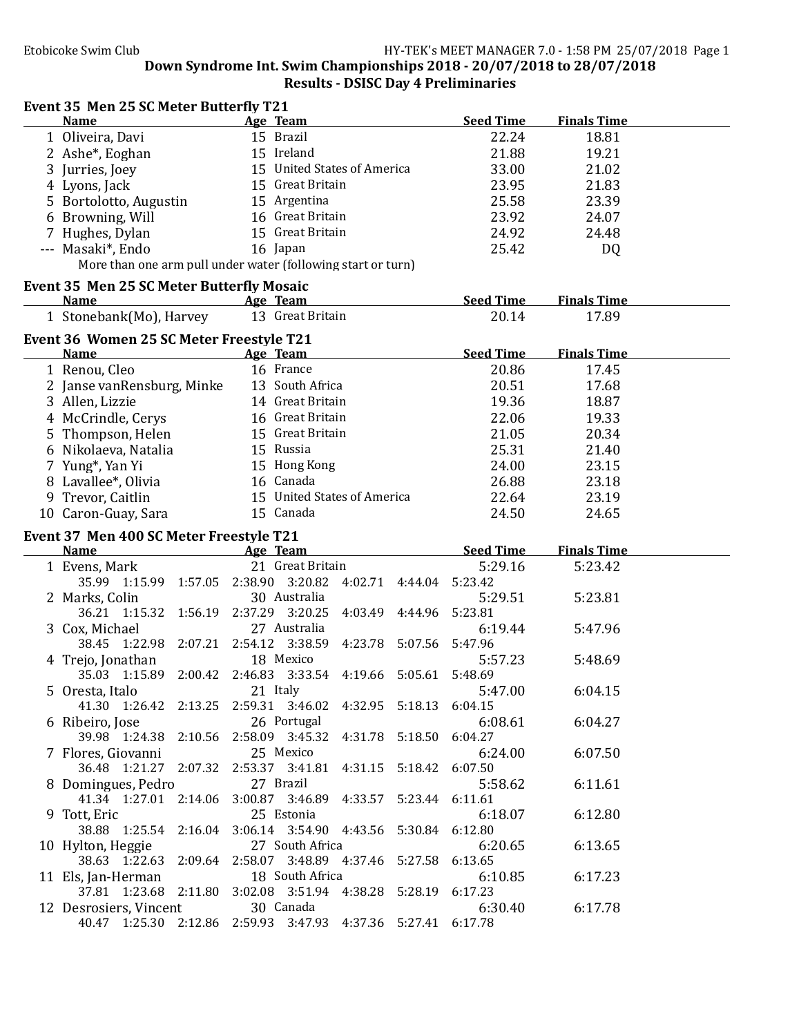### Event 35 Men 25 SC Meter Butterfly T21

| <b>Name</b>                                                   | Age Team                    |  | <b>Seed Time</b> | <b>Finals Time</b> |  |
|---------------------------------------------------------------|-----------------------------|--|------------------|--------------------|--|
| 1 Oliveira, Davi                                              | 15 Brazil                   |  | 22.24            | 18.81              |  |
| 2 Ashe <sup>*</sup> , Eoghan                                  | 15 Ireland                  |  | 21.88            | 19.21              |  |
| 3 Jurries, Joey                                               | 15 United States of America |  | 33.00            | 21.02              |  |
| 4 Lyons, Jack                                                 | 15 Great Britain            |  | 23.95            | 21.83              |  |
| 5 Bortolotto, Augustin                                        | 15 Argentina                |  | 25.58            | 23.39              |  |
| 6 Browning, Will                                              | 16 Great Britain            |  | 23.92            | 24.07              |  |
| 7 Hughes, Dylan                                               | 15 Great Britain            |  | 24.92            | 24.48              |  |
| --- Masaki*, Endo                                             | 16 Japan                    |  | 25.42            | DQ                 |  |
| More than one arm pull under water (following start or turn)  |                             |  |                  |                    |  |
|                                                               |                             |  |                  |                    |  |
| <b>Event 35 Men 25 SC Meter Butterfly Mosaic</b>              |                             |  |                  |                    |  |
| <u>Age Team</u><br>Name                                       |                             |  | <b>Seed Time</b> | <b>Finals Time</b> |  |
| 1 Stonebank(Mo), Harvey                                       | 13 Great Britain            |  | 20.14            | 17.89              |  |
| Event 36 Women 25 SC Meter Freestyle T21                      |                             |  |                  |                    |  |
| Name                                                          | Age Team                    |  | <b>Seed Time</b> | <b>Finals Time</b> |  |
| 1 Renou, Cleo                                                 | 16 France                   |  | 20.86            | 17.45              |  |
| 2 Janse vanRensburg, Minke                                    | 13 South Africa             |  | 20.51            | 17.68              |  |
| 3 Allen, Lizzie                                               | 14 Great Britain            |  | 19.36            | 18.87              |  |
|                                                               | 16 Great Britain            |  |                  |                    |  |
| 4 McCrindle, Cerys                                            | 15 Great Britain            |  | 22.06            | 19.33              |  |
| 5 Thompson, Helen                                             |                             |  | 21.05            | 20.34              |  |
| 6 Nikolaeva, Natalia                                          | 15 Russia                   |  | 25.31            | 21.40              |  |
| 7 Yung*, Yan Yi                                               | 15 Hong Kong                |  | 24.00            | 23.15              |  |
| 8 Lavallee*, Olivia                                           | 16 Canada                   |  | 26.88            | 23.18              |  |
| 9 Trevor, Caitlin                                             | 15 United States of America |  | 22.64            | 23.19              |  |
| 10 Caron-Guay, Sara                                           | 15 Canada                   |  | 24.50            | 24.65              |  |
|                                                               |                             |  |                  |                    |  |
|                                                               |                             |  |                  |                    |  |
| Event 37 Men 400 SC Meter Freestyle T21                       |                             |  |                  |                    |  |
| <b>Name</b><br><u>Age Team</u>                                |                             |  | <b>Seed Time</b> | <b>Finals Time</b> |  |
| 1 Evens, Mark                                                 | 21 Great Britain            |  | 5:29.16          | 5:23.42            |  |
| 35.99 1:15.99 1:57.05 2:38.90 3:20.82 4:02.71 4:44.04 5:23.42 |                             |  |                  |                    |  |
| 2 Marks, Colin                                                | 30 Australia                |  | 5:29.51          | 5:23.81            |  |
| 36.21 1:15.32 1:56.19 2:37.29 3:20.25 4:03.49 4:44.96 5:23.81 |                             |  |                  |                    |  |
| 3 Cox, Michael                                                | 27 Australia                |  | 6:19.44          | 5:47.96            |  |
| 38.45 1:22.98 2:07.21 2:54.12 3:38.59 4:23.78 5:07.56 5:47.96 |                             |  |                  |                    |  |
| 4 Trejo, Jonathan                                             | 18 Mexico                   |  | 5:57.23          | 5:48.69            |  |
| 35.03 1:15.89 2:00.42 2:46.83 3:33.54 4:19.66 5:05.61 5:48.69 |                             |  |                  |                    |  |
| 5 Oresta, Italo                                               | 21 Italy                    |  | 5:47.00          | 6:04.15            |  |
| 41.30 1:26.42 2:13.25 2:59.31 3:46.02 4:32.95 5:18.13 6:04.15 |                             |  |                  |                    |  |
| 6 Ribeiro, Jose                                               | 26 Portugal                 |  | 6:08.61          | 6:04.27            |  |
| 39.98 1:24.38 2:10.56 2:58.09 3:45.32 4:31.78 5:18.50 6:04.27 |                             |  |                  |                    |  |
| 7 Flores, Giovanni                                            | 25 Mexico                   |  | 6:24.00          | 6:07.50            |  |
| 36.48 1:21.27 2:07.32 2:53.37 3:41.81 4:31.15 5:18.42 6:07.50 |                             |  |                  |                    |  |
| 8 Domingues, Pedro                                            | 27 Brazil                   |  | 5:58.62          | 6:11.61            |  |
| 41.34 1:27.01 2:14.06 3:00.87 3:46.89 4:33.57 5:23.44 6:11.61 |                             |  |                  |                    |  |
| 9 Tott, Eric                                                  | 25 Estonia                  |  | 6:18.07          | 6:12.80            |  |
| 38.88 1:25.54 2:16.04 3:06.14 3:54.90 4:43.56 5:30.84 6:12.80 |                             |  |                  |                    |  |
| 10 Hylton, Heggie                                             | 27 South Africa             |  | 6:20.65          | 6:13.65            |  |
| 38.63 1:22.63 2:09.64 2:58.07 3:48.89 4:37.46 5:27.58 6:13.65 |                             |  |                  |                    |  |
| 11 Els, Jan-Herman                                            | 18 South Africa             |  | 6:10.85          | 6:17.23            |  |
| 37.81 1:23.68 2:11.80 3:02.08 3:51.94 4:38.28 5:28.19 6:17.23 |                             |  |                  |                    |  |
| 12 Desrosiers, Vincent                                        | 30 Canada                   |  | 6:30.40          | 6:17.78            |  |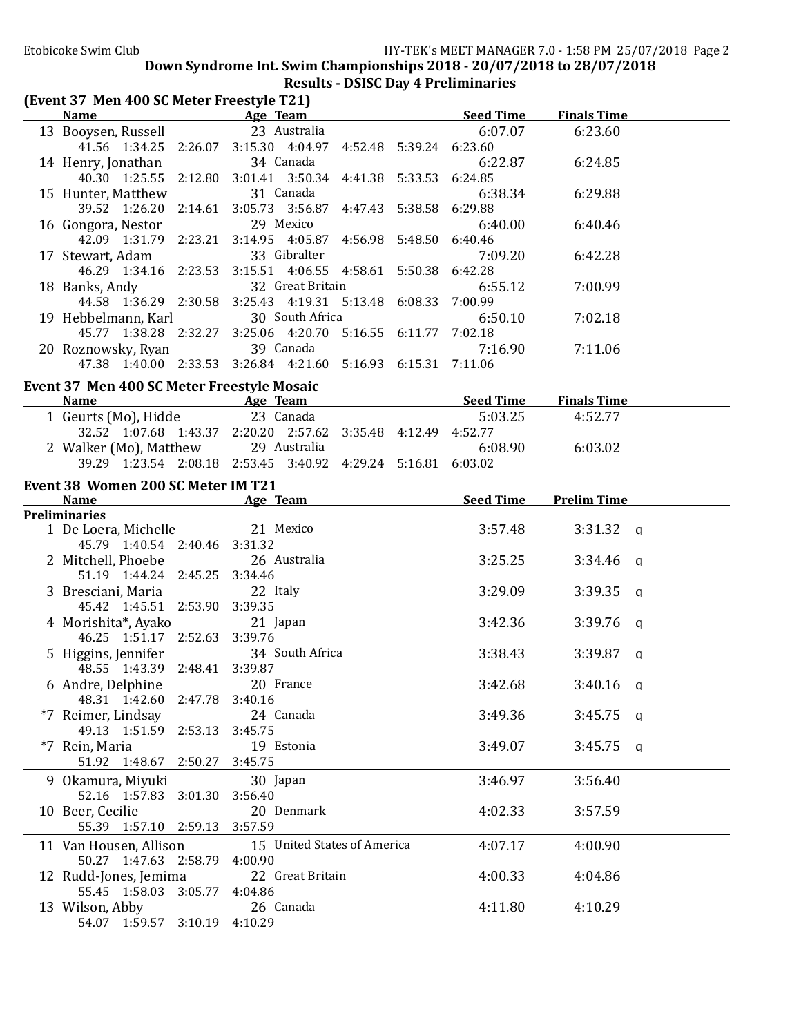# Results - DSISC Day 4 Preliminaries

| (Event 37 Men 400 SC Meter Freestyle T21)                 |                                                               |                  |                    |
|-----------------------------------------------------------|---------------------------------------------------------------|------------------|--------------------|
|                                                           | Name Age Team                                                 | <b>Seed Time</b> | <b>Finals Time</b> |
| 13 Booysen, Russell                                       | 23 Australia                                                  | 6:07.07          | 6:23.60            |
|                                                           | 41.56 1:34.25 2:26.07 3:15.30 4:04.97 4:52.48 5:39.24 6:23.60 |                  |                    |
| 14 Henry, Jonathan                                        | 34 Canada                                                     | 6:22.87          | 6:24.85            |
|                                                           | 40.30 1:25.55 2:12.80 3:01.41 3:50.34 4:41.38 5:33.53 6:24.85 |                  |                    |
| 15 Hunter, Matthew                                        | 31 Canada                                                     | 6:38.34          | 6:29.88            |
|                                                           | 39.52 1:26.20 2:14.61 3:05.73 3:56.87 4:47.43 5:38.58 6:29.88 |                  |                    |
| 16 Gongora, Nestor                                        | 29 Mexico                                                     | 6:40.00          | 6:40.46            |
|                                                           | 42.09 1:31.79 2:23.21 3:14.95 4:05.87 4:56.98 5:48.50 6:40.46 |                  |                    |
| 17 Stewart, Adam                                          | 33 Gibralter                                                  | 7:09.20          | 6:42.28            |
|                                                           | 46.29 1:34.16 2:23.53 3:15.51 4:06.55 4:58.61 5:50.38 6:42.28 |                  |                    |
| 18 Banks, Andy                                            | 32 Great Britain                                              | 6:55.12          | 7:00.99            |
|                                                           | 44.58 1:36.29 2:30.58 3:25.43 4:19.31 5:13.48 6:08.33 7:00.99 |                  |                    |
| 19 Hebbelmann, Karl                                       | 30 South Africa                                               | 6:50.10          | 7:02.18            |
|                                                           | 45.77 1:38.28 2:32.27 3:25.06 4:20.70 5:16.55 6:11.77 7:02.18 |                  |                    |
| 20 Roznowsky, Ryan                                        | 39 Canada                                                     | 7:16.90          | 7:11.06            |
|                                                           | 47.38 1:40.00 2:33.53 3:26.84 4:21.60 5:16.93 6:15.31 7:11.06 |                  |                    |
|                                                           |                                                               |                  |                    |
| Event 37 Men 400 SC Meter Freestyle Mosaic<br><b>Name</b> |                                                               |                  | <b>Finals Time</b> |
|                                                           | <b>Example 2</b> Seed Time                                    |                  |                    |
| 1 Geurts (Mo), Hidde                                      | 23 Canada                                                     | 5:03.25          | 4:52.77            |
|                                                           | 32.52 1:07.68 1:43.37 2:20.20 2:57.62 3:35.48 4:12.49 4:52.77 |                  |                    |
| 2 Walker (Mo), Matthew 29 Australia                       |                                                               | 6:08.90          | 6:03.02            |
|                                                           | 39.29 1:23.54 2:08.18 2:53.45 3:40.92 4:29.24 5:16.81 6:03.02 |                  |                    |
| Event 38 Women 200 SC Meter IM T21                        |                                                               |                  |                    |
|                                                           | <b>Name</b> Seed Time Age Team Seed Time                      |                  | <b>Prelim Time</b> |
| <b>Preliminaries</b>                                      |                                                               |                  |                    |
| 1 De Loera, Michelle                                      | 21 Mexico                                                     | 3:57.48          | $3:31.32$ q        |
| 45.79 1:40.54 2:40.46 3:31.32                             |                                                               |                  |                    |
| 2 Mitchell, Phoebe                                        | 26 Australia                                                  | 3:25.25          | $3:34.46$ q        |
| 51.19 1:44.24 2:45.25 3:34.46                             |                                                               |                  |                    |
| 3 Bresciani, Maria                                        | 22 Italy                                                      | 3:29.09          | $3:39.35$ q        |
| 45.42 1:45.51 2:53.90 3:39.35                             |                                                               |                  |                    |
| 4 Morishita*, Ayako                                       | 21 Japan                                                      | 3:42.36          | $3:39.76$ q        |
| 46.25 1:51.17 2:52.63 3:39.76                             |                                                               |                  |                    |
| 5 Higgins, Jennifer                                       | 34 South Africa                                               | 3:38.43          | $3:39.87$ q        |
| 48.55 1:43.39 2:48.41 3:39.87                             |                                                               |                  |                    |
| 6 Andre, Delphine                                         | 20 France                                                     | 3:42.68          | $3:40.16$ q        |
| 48.31 1:42.60 2:47.78                                     | 3:40.16                                                       |                  |                    |
| *7 Reimer, Lindsay                                        | 24 Canada                                                     | 3:49.36          | $3:45.75$ q        |
| 49.13 1:51.59 2:53.13                                     | 3:45.75                                                       |                  |                    |
| *7 Rein, Maria                                            | 19 Estonia                                                    | 3:49.07          | $3:45.75$ a        |
| 51.92 1:48.67 2:50.27 3:45.75                             |                                                               |                  |                    |
| 9 Okamura, Miyuki                                         | 30 Japan                                                      | 3:46.97          | 3:56.40            |
| 52.16 1:57.83 3:01.30                                     | 3:56.40                                                       |                  |                    |
| 10 Beer, Cecilie                                          | 20 Denmark                                                    | 4:02.33          | 3:57.59            |
| 55.39 1:57.10 2:59.13 3:57.59                             |                                                               |                  |                    |
| 11 Van Housen, Allison                                    | 15 United States of America                                   | 4:07.17          | 4:00.90            |
| 50.27 1:47.63 2:58.79                                     | 4:00.90                                                       |                  |                    |
| 12 Rudd-Jones, Jemima                                     | 22 Great Britain                                              | 4:00.33          | 4:04.86            |
| 55.45 1:58.03 3:05.77                                     | 4:04.86                                                       |                  |                    |
| 13 Wilson, Abby                                           | 26 Canada                                                     | 4:11.80          | 4:10.29            |
| 54.07 1:59.57 3:10.19 4:10.29                             |                                                               |                  |                    |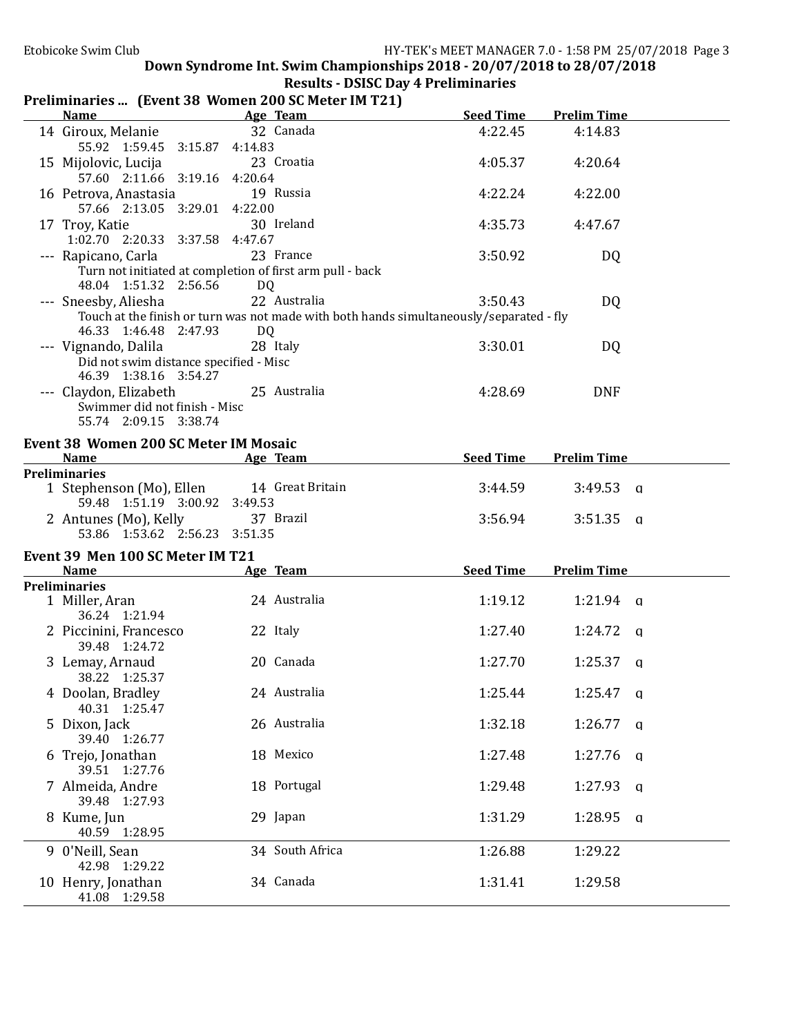# Results - DSISC Day 4 Preliminaries

# Preliminaries ... (Event 38 Women 200 SC Meter IM T21)

| <b>Name</b>                                                                                                      |    | Age Team                                                                                                | <b>Seed Time</b> | <b>Prelim Time</b>      |  |
|------------------------------------------------------------------------------------------------------------------|----|---------------------------------------------------------------------------------------------------------|------------------|-------------------------|--|
| 14 Giroux, Melanie<br>55.92 1:59.45 3:15.87 4:14.83                                                              |    | 32 Canada                                                                                               | 4:22.45          | 4:14.83                 |  |
| 15 Mijolovic, Lucija<br>57.60 2:11.66 3:19.16 4:20.64                                                            |    | 23 Croatia                                                                                              | 4:05.37          | 4:20.64                 |  |
| 16 Petrova, Anastasia<br>57.66 2:13.05 3:29.01 4:22.00                                                           |    | 19 Russia                                                                                               | 4:22.24          | 4:22.00                 |  |
| 17 Troy, Katie<br>1:02.70 2:20.33 3:37.58 4:47.67                                                                |    | 30 Ireland                                                                                              | 4:35.73          | 4:47.67                 |  |
| --- Rapicano, Carla                                                                                              |    | 23 France<br>Turn not initiated at completion of first arm pull - back                                  | 3:50.92          | DQ                      |  |
| 48.04 1:51.32 2:56.56<br>--- Sneesby, Aliesha                                                                    | DQ | 22 Australia<br>Touch at the finish or turn was not made with both hands simultaneously/separated - fly | 3:50.43          | DQ                      |  |
| 46.33 1:46.48 2:47.93<br>--- Vignando, Dalila<br>Did not swim distance specified - Misc<br>46.39 1:38.16 3:54.27 | DQ | 28 Italy                                                                                                | 3:30.01          | DQ                      |  |
| --- Claydon, Elizabeth<br>Swimmer did not finish - Misc<br>55.74 2:09.15 3:38.74                                 |    | 25 Australia                                                                                            | 4:28.69          | <b>DNF</b>              |  |
| <b>Event 38 Women 200 SC Meter IM Mosaic</b><br>Name                                                             |    | Age Team                                                                                                | <b>Seed Time</b> | <b>Prelim Time</b>      |  |
| <b>Preliminaries</b>                                                                                             |    |                                                                                                         |                  |                         |  |
| 1 Stephenson (Mo), Ellen 14 Great Britain<br>59.48 1:51.19 3:00.92 3:49.53                                       |    |                                                                                                         | 3:44.59          | $3:49.53$ q             |  |
| 2 Antunes (Mo), Kelly<br>53.86 1:53.62 2:56.23 3:51.35                                                           |    | 37 Brazil                                                                                               | 3:56.94          | $3:51.35$ a             |  |
| Event 39 Men 100 SC Meter IM T21                                                                                 |    |                                                                                                         |                  |                         |  |
| Name                                                                                                             |    | Age Team                                                                                                | <b>Seed Time</b> | <b>Prelim Time</b>      |  |
| <b>Preliminaries</b><br>1 Miller, Aran                                                                           |    | 24 Australia                                                                                            | 1:19.12          | $1:21.94$ a             |  |
| 36.24 1:21.94                                                                                                    |    |                                                                                                         |                  |                         |  |
| 2 Piccinini, Francesco<br>39.48 1:24.72                                                                          |    | 22 Italy                                                                                                | 1:27.40          | $1:24.72$ q             |  |
| 3 Lemay, Arnaud<br>38.22 1:25.37                                                                                 |    | 20 Canada                                                                                               | 1:27.70          | $1:25.37$ q             |  |
| 4 Doolan, Bradley<br>40.31 1:25.47                                                                               |    | 24 Australia                                                                                            | 1:25.44          | $1:25.47$ a             |  |
| 5 Dixon, Jack<br>39.40 1:26.77                                                                                   |    | 26 Australia                                                                                            | 1:32.18          | $1:26.77$ q             |  |
| 6 Trejo, Jonathan<br>39.51 1:27.76                                                                               |    | 18 Mexico                                                                                               | 1:27.48          | 1:27.76<br>q            |  |
| 7 Almeida, Andre<br>39.48 1:27.93                                                                                |    | 18 Portugal                                                                                             | 1:29.48          | 1:27.93<br>q            |  |
| 8 Kume, Jun<br>40.59 1:28.95                                                                                     |    | 29 Japan                                                                                                | 1:31.29          | 1:28.95<br>$\mathbf{q}$ |  |
| 9 0'Neill, Sean<br>42.98 1:29.22                                                                                 |    | 34 South Africa                                                                                         | 1:26.88          | 1:29.22                 |  |
| 10 Henry, Jonathan<br>41.08 1:29.58                                                                              |    | 34 Canada                                                                                               | 1:31.41          | 1:29.58                 |  |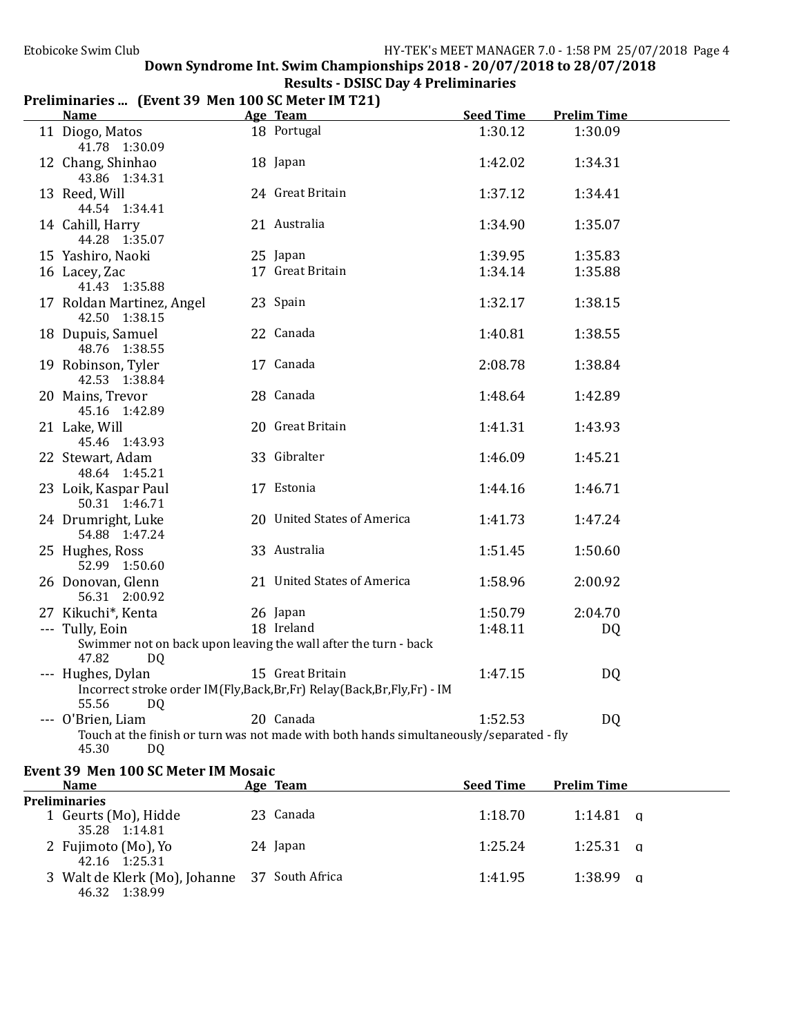| <b>Name</b>                                | Age Team                                                                                             | <b>Seed Time</b> | <b>Prelim Time</b> |
|--------------------------------------------|------------------------------------------------------------------------------------------------------|------------------|--------------------|
| 11 Diogo, Matos<br>41.78 1:30.09           | 18 Portugal                                                                                          | 1:30.12          | 1:30.09            |
| 12 Chang, Shinhao<br>43.86 1:34.31         | 18 Japan                                                                                             | 1:42.02          | 1:34.31            |
| 13 Reed, Will<br>44.54 1:34.41             | 24 Great Britain                                                                                     | 1:37.12          | 1:34.41            |
| 14 Cahill, Harry<br>44.28 1:35.07          | 21 Australia                                                                                         | 1:34.90          | 1:35.07            |
| 15 Yashiro, Naoki                          | 25 Japan                                                                                             | 1:39.95          | 1:35.83            |
| 16 Lacey, Zac<br>41.43 1:35.88             | 17 Great Britain                                                                                     | 1:34.14          | 1:35.88            |
| 17 Roldan Martinez, Angel<br>42.50 1:38.15 | 23 Spain                                                                                             | 1:32.17          | 1:38.15            |
| 18 Dupuis, Samuel<br>48.76 1:38.55         | 22 Canada                                                                                            | 1:40.81          | 1:38.55            |
| 19 Robinson, Tyler<br>42.53 1:38.84        | 17 Canada                                                                                            | 2:08.78          | 1:38.84            |
| 20 Mains, Trevor<br>45.16 1:42.89          | 28 Canada                                                                                            | 1:48.64          | 1:42.89            |
| 21 Lake, Will<br>45.46 1:43.93             | 20 Great Britain                                                                                     | 1:41.31          | 1:43.93            |
| 22 Stewart, Adam<br>48.64 1:45.21          | 33 Gibralter                                                                                         | 1:46.09          | 1:45.21            |
| 23 Loik, Kaspar Paul<br>50.31 1:46.71      | 17 Estonia                                                                                           | 1:44.16          | 1:46.71            |
| 24 Drumright, Luke<br>54.88 1:47.24        | 20 United States of America                                                                          | 1:41.73          | 1:47.24            |
| 25 Hughes, Ross<br>52.99 1:50.60           | 33 Australia                                                                                         | 1:51.45          | 1:50.60            |
| 26 Donovan, Glenn<br>56.31 2:00.92         | 21 United States of America                                                                          | 1:58.96          | 2:00.92            |
| 27 Kikuchi*, Kenta                         | 26 Japan                                                                                             | 1:50.79          | 2:04.70            |
| --- Tully, Eoin                            | 18 Ireland                                                                                           | 1:48.11          | DQ                 |
| 47.82<br>DQ                                | Swimmer not on back upon leaving the wall after the turn - back                                      |                  |                    |
| --- Hughes, Dylan<br>55.56<br>DQ           | 15 Great Britain<br>Incorrect stroke order IM(Fly,Back,Br,Fr) Relay(Back,Br,Fly,Fr) - IM             | 1:47.15          | DQ                 |
| --- O'Brien, Liam<br>45.30<br>DQ           | 20 Canada<br>Touch at the finish or turn was not made with both hands simultaneously/separated - fly | 1:52.53          | DQ                 |
| <b>Event 39 Men 100 SC Meter IM Mosaic</b> |                                                                                                      |                  |                    |
| <b>Name</b><br>$D =$                       | Age Team                                                                                             | <b>Seed Time</b> | <b>Prelim Time</b> |

### Preliminaries ... (Event 39 Men 100 SC Meter IM T21)

| EVEIIL 59 MEII 100 SC MELEI IM MOSAIC                          |           |                  |                    |  |  |  |  |
|----------------------------------------------------------------|-----------|------------------|--------------------|--|--|--|--|
| Name                                                           | Age Team  | <b>Seed Time</b> | <b>Prelim Time</b> |  |  |  |  |
| <b>Preliminaries</b>                                           |           |                  |                    |  |  |  |  |
| 1 Geurts (Mo), Hidde<br>35.28 1:14.81                          | 23 Canada | 1:18.70          | $1:14.81$ q        |  |  |  |  |
| 2 Fujimoto (Mo), Yo<br>42.16 1:25.31                           | 24 Japan  | 1:25.24          | $1:25.31$ q        |  |  |  |  |
| 3 Walt de Klerk (Mo), Johanne 37 South Africa<br>46.32 1:38.99 |           | 1:41.95          | $1:38.99$ a        |  |  |  |  |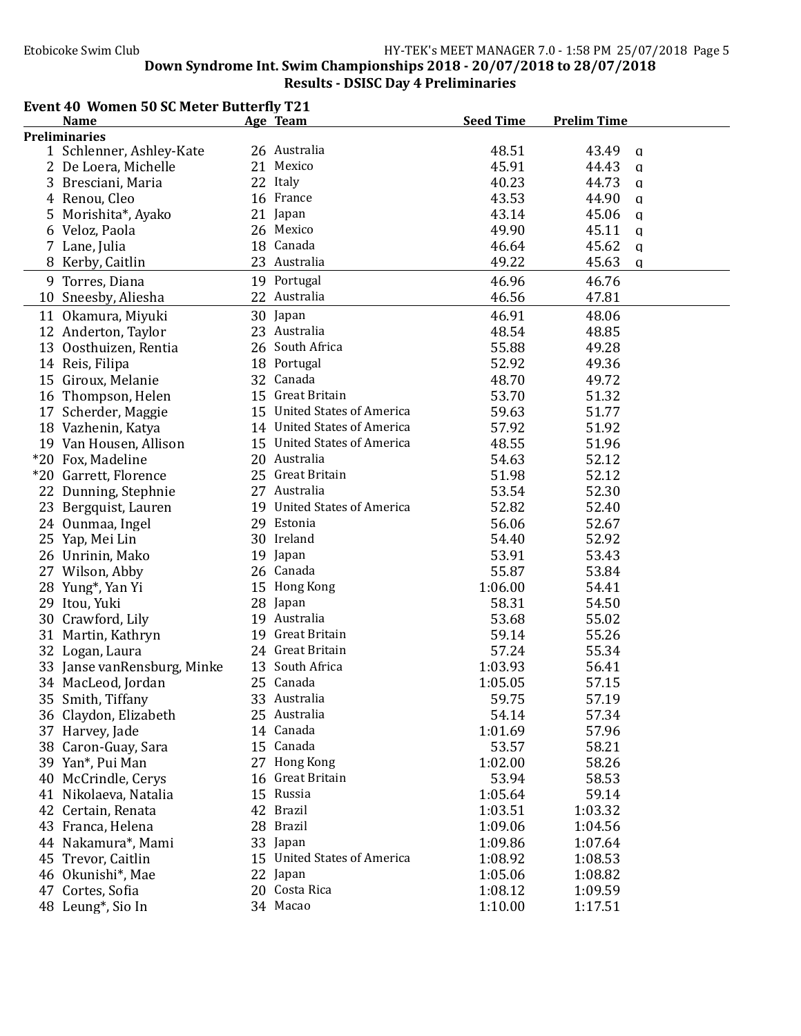#### Etobicoke Swim Club **HY-TEK's** MEET MANAGER 7.0 - 1:58 PM 25/07/2018 Page 5 Down Syndrome Int. Swim Championships  $2018 - 20/07/2018$  to  $28/07/2018$

### Results - DSISC Day 4 Preliminaries

### Event 40 Women 50 SC Meter Butterfly T21

| <b>Name</b>                 | Age Team                    | <b>Seed Time</b> | <b>Prelim Time</b>    |
|-----------------------------|-----------------------------|------------------|-----------------------|
| <b>Preliminaries</b>        |                             |                  |                       |
| 1 Schlenner, Ashley-Kate    | 26 Australia                | 48.51            | 43.49<br>$\mathbf{q}$ |
| 2 De Loera, Michelle        | 21 Mexico                   | 45.91            | 44.43<br>$\mathbf{q}$ |
| 3 Bresciani, Maria          | 22 Italy                    | 40.23            | 44.73<br>$\mathbf{q}$ |
| 4 Renou, Cleo               | 16 France                   | 43.53            | 44.90<br>$\mathbf{q}$ |
| 5 Morishita*, Ayako         | 21 Japan                    | 43.14            | 45.06<br>a            |
| 6 Veloz, Paola              | 26 Mexico                   | 49.90            | 45.11<br>a            |
| 7 Lane, Julia               | 18 Canada                   | 46.64            | 45.62<br>$\mathbf{q}$ |
| 8 Kerby, Caitlin            | 23 Australia                | 49.22            | 45.63<br>$\mathbf{a}$ |
| 9 Torres, Diana             | 19 Portugal                 | 46.96            | 46.76                 |
| 10 Sneesby, Aliesha         | 22 Australia                | 46.56            | 47.81                 |
| 11 Okamura, Miyuki          | 30 Japan                    | 46.91            | 48.06                 |
| 12 Anderton, Taylor         | 23 Australia                | 48.54            | 48.85                 |
| 13 Oosthuizen, Rentia       | 26 South Africa             | 55.88            | 49.28                 |
| 14 Reis, Filipa             | 18 Portugal                 | 52.92            | 49.36                 |
| 15 Giroux, Melanie          | 32 Canada                   | 48.70            | 49.72                 |
| 16 Thompson, Helen          | 15 Great Britain            | 53.70            | 51.32                 |
| 17 Scherder, Maggie         | 15 United States of America | 59.63            | 51.77                 |
| 18 Vazhenin, Katya          | 14 United States of America | 57.92            | 51.92                 |
| 19 Van Housen, Allison      | 15 United States of America | 48.55            | 51.96                 |
| *20 Fox, Madeline           | 20 Australia                | 54.63            | 52.12                 |
| *20 Garrett, Florence       | 25 Great Britain            | 51.98            | 52.12                 |
| 22 Dunning, Stephnie        | 27 Australia                | 53.54            | 52.30                 |
| 23 Bergquist, Lauren        | 19 United States of America | 52.82            | 52.40                 |
| 24 Ounmaa, Ingel            | 29 Estonia                  | 56.06            | 52.67                 |
| 25 Yap, Mei Lin             | 30 Ireland                  | 54.40            | 52.92                 |
| 26 Unrinin, Mako            | 19 Japan                    | 53.91            | 53.43                 |
| 27 Wilson, Abby             | 26 Canada                   | 55.87            | 53.84                 |
| 28 Yung*, Yan Yi            | 15 Hong Kong                | 1:06.00          | 54.41                 |
| 29 Itou, Yuki               | 28 Japan                    | 58.31            | 54.50                 |
| 30 Crawford, Lily           | 19 Australia                | 53.68            | 55.02                 |
| 31 Martin, Kathryn          | 19 Great Britain            | 59.14            | 55.26                 |
| 32 Logan, Laura             | 24 Great Britain            | 57.24            | 55.34                 |
| 33 Janse vanRensburg, Minke | 13 South Africa             | 1:03.93          | 56.41                 |
| 34 MacLeod, Jordan          | 25 Canada                   | 1:05.05          | 57.15                 |
| 35 Smith, Tiffany           | 33 Australia                | 59.75            | 57.19                 |
| 36 Claydon, Elizabeth       | 25 Australia                | 54.14            | 57.34                 |
| 37 Harvey, Jade             | 14 Canada                   | 1:01.69          | 57.96                 |
| 38 Caron-Guay, Sara         | 15 Canada                   | 53.57            | 58.21                 |
| 39 Yan*, Pui Man            | 27 Hong Kong                | 1:02.00          | 58.26                 |
| 40 McCrindle, Cerys         | 16 Great Britain            | 53.94            | 58.53                 |
| 41 Nikolaeva, Natalia       | 15 Russia                   | 1:05.64          | 59.14                 |
| 42 Certain, Renata          | 42 Brazil                   | 1:03.51          | 1:03.32               |
| 43 Franca, Helena           | 28 Brazil                   | 1:09.06          | 1:04.56               |
| 44 Nakamura*, Mami          | 33 Japan                    | 1:09.86          | 1:07.64               |
| 45 Trevor, Caitlin          | 15 United States of America | 1:08.92          | 1:08.53               |
| 46 Okunishi*, Mae           | 22 Japan                    | 1:05.06          | 1:08.82               |
| 47 Cortes, Sofia            | 20 Costa Rica               | 1:08.12          | 1:09.59               |
| 48 Leung*, Sio In           | 34 Macao                    | 1:10.00          | 1:17.51               |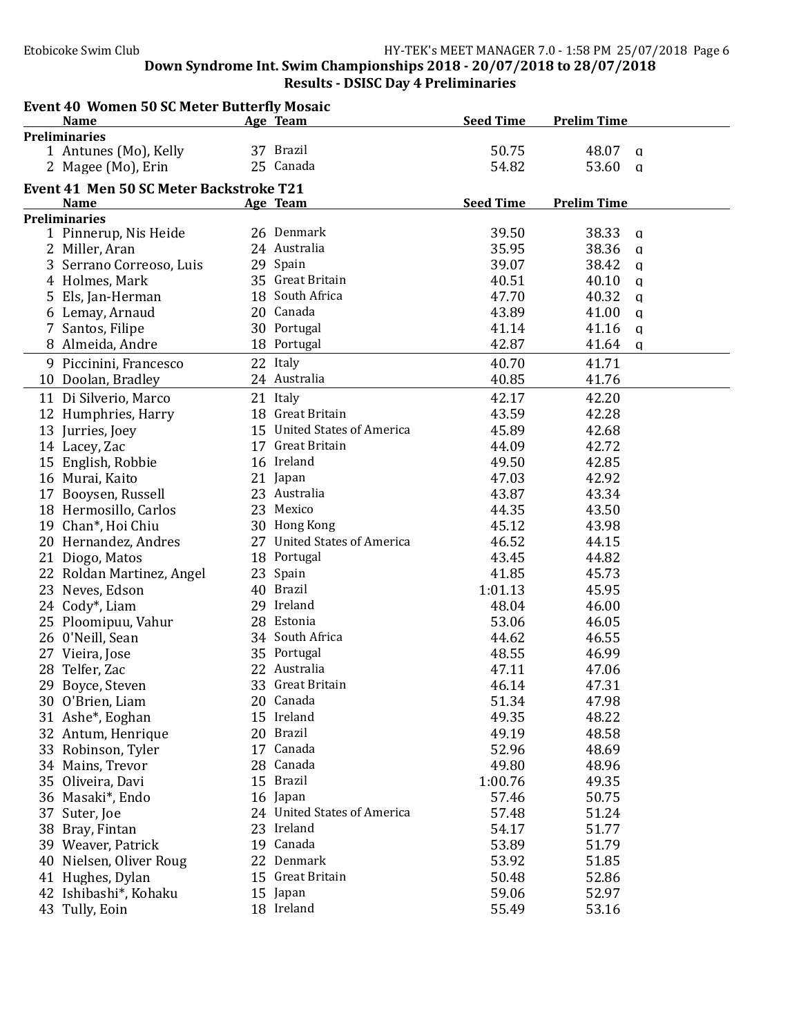|    | <b>Event 40 Women 50 SC Meter Butterfly Mosaic</b> |                             |                  |                       |  |
|----|----------------------------------------------------|-----------------------------|------------------|-----------------------|--|
|    | <b>Name</b>                                        | Age Team                    | <b>Seed Time</b> | <b>Prelim Time</b>    |  |
|    | <b>Preliminaries</b>                               |                             |                  |                       |  |
|    | 1 Antunes (Mo), Kelly                              | 37 Brazil                   | 50.75            | 48.07<br>$\alpha$     |  |
|    | 2 Magee (Mo), Erin                                 | 25 Canada                   | 54.82            | 53.60<br>$\mathsf{q}$ |  |
|    | Event 41 Men 50 SC Meter Backstroke T21            |                             |                  |                       |  |
|    | <b>Name</b>                                        | Age Team                    | <b>Seed Time</b> | <b>Prelim Time</b>    |  |
|    | <b>Preliminaries</b>                               |                             |                  |                       |  |
|    | 1 Pinnerup, Nis Heide                              | 26 Denmark                  | 39.50            | 38.33<br>$\mathbf{q}$ |  |
|    | 2 Miller, Aran                                     | 24 Australia                | 35.95            | 38.36<br>$\mathbf{q}$ |  |
|    | 3 Serrano Correoso, Luis                           | 29 Spain                    | 39.07            | 38.42<br>$\mathbf{q}$ |  |
|    | 4 Holmes, Mark                                     | 35 Great Britain            | 40.51            | 40.10<br>$\mathbf{q}$ |  |
|    | 5 Els, Jan-Herman                                  | 18 South Africa             | 47.70            | 40.32<br>$\mathbf{q}$ |  |
|    | 6 Lemay, Arnaud                                    | 20 Canada                   | 43.89            | 41.00<br>$\mathbf{q}$ |  |
|    | 7 Santos, Filipe                                   | 30 Portugal                 | 41.14            | 41.16<br>$\mathbf{q}$ |  |
|    | 8 Almeida, Andre                                   | 18 Portugal                 | 42.87            | 41.64<br>$\mathbf{q}$ |  |
|    | 9 Piccinini, Francesco                             | 22 Italy                    | 40.70            | 41.71                 |  |
|    | 10 Doolan, Bradley                                 | 24 Australia                | 40.85            | 41.76                 |  |
|    | 11 Di Silverio, Marco                              | 21 Italy                    | 42.17            | 42.20                 |  |
|    | 12 Humphries, Harry                                | 18 Great Britain            | 43.59            | 42.28                 |  |
|    | 13 Jurries, Joey                                   | 15 United States of America | 45.89            | 42.68                 |  |
|    | 14 Lacey, Zac                                      | 17 Great Britain            | 44.09            | 42.72                 |  |
|    | 15 English, Robbie                                 | 16 Ireland                  | 49.50            | 42.85                 |  |
|    | 16 Murai, Kaito                                    | 21 Japan                    | 47.03            | 42.92                 |  |
|    | 17 Booysen, Russell                                | 23 Australia                | 43.87            | 43.34                 |  |
|    | 18 Hermosillo, Carlos                              | 23 Mexico                   | 44.35            | 43.50                 |  |
|    | 19 Chan*, Hoi Chiu                                 | 30 Hong Kong                | 45.12            | 43.98                 |  |
|    | 20 Hernandez, Andres                               | 27 United States of America | 46.52            | 44.15                 |  |
|    | 21 Diogo, Matos                                    | 18 Portugal                 | 43.45            | 44.82                 |  |
|    | 22 Roldan Martinez, Angel                          | 23 Spain                    | 41.85            | 45.73                 |  |
|    | 23 Neves, Edson                                    | 40 Brazil                   | 1:01.13          | 45.95                 |  |
|    | 24 Cody*, Liam                                     | 29 Ireland                  | 48.04            | 46.00                 |  |
|    | 25 Ploomipuu, Vahur                                | 28 Estonia                  | 53.06            | 46.05                 |  |
|    | 26 0'Neill, Sean                                   | 34 South Africa             | 44.62            | 46.55                 |  |
|    | 27 Vieira, Jose                                    | 35 Portugal                 | 48.55            | 46.99                 |  |
|    | 28 Telfer, Zac                                     | 22 Australia                | 47.11            | 47.06                 |  |
|    |                                                    | 33 Great Britain            | 46.14            | 47.31                 |  |
|    | 29 Boyce, Steven<br>30 O'Brien, Liam               | 20 Canada                   | 51.34            | 47.98                 |  |
|    |                                                    | 15 Ireland                  | 49.35            | 48.22                 |  |
|    | 31 Ashe*, Eoghan                                   | 20 Brazil                   | 49.19            | 48.58                 |  |
|    | 32 Antum, Henrique                                 | 17 Canada                   |                  |                       |  |
|    | 33 Robinson, Tyler                                 | 28 Canada                   | 52.96<br>49.80   | 48.69                 |  |
|    | 34 Mains, Trevor                                   | 15 Brazil                   |                  | 48.96                 |  |
|    | 35 Oliveira, Davi                                  |                             | 1:00.76          | 49.35                 |  |
|    | 36 Masaki*, Endo                                   | 16 Japan                    | 57.46            | 50.75                 |  |
| 37 | Suter, Joe                                         | 24 United States of America | 57.48            | 51.24                 |  |
|    | 38 Bray, Fintan                                    | 23 Ireland                  | 54.17            | 51.77                 |  |
|    | 39 Weaver, Patrick                                 | 19 Canada                   | 53.89            | 51.79                 |  |
|    | 40 Nielsen, Oliver Roug                            | 22 Denmark                  | 53.92            | 51.85                 |  |
|    | 41 Hughes, Dylan                                   | 15 Great Britain            | 50.48            | 52.86                 |  |
|    | 42 Ishibashi*, Kohaku                              | 15 Japan                    | 59.06            | 52.97                 |  |
|    | 43 Tully, Eoin                                     | 18 Ireland                  | 55.49            | 53.16                 |  |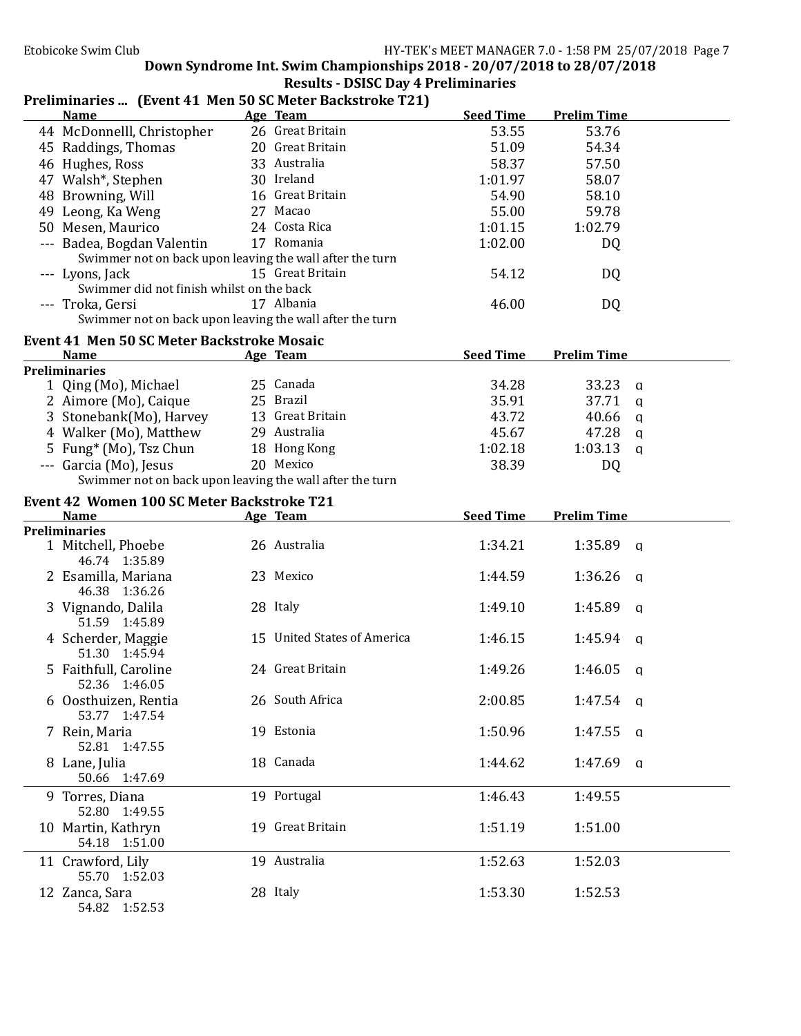| Preliminaries  (Event 41 Men 50 SC Meter Backstroke T21) |                             |                  |                         |  |
|----------------------------------------------------------|-----------------------------|------------------|-------------------------|--|
| <b>Name</b>                                              | Age Team                    | <b>Seed Time</b> | <b>Prelim Time</b>      |  |
| 44 McDonnelll, Christopher                               | 26 Great Britain            | 53.55            | 53.76                   |  |
| 45 Raddings, Thomas                                      | 20 Great Britain            | 51.09            | 54.34                   |  |
| 46 Hughes, Ross                                          | 33 Australia                | 58.37            | 57.50                   |  |
| 47 Walsh*, Stephen                                       | 30 Ireland                  | 1:01.97          | 58.07                   |  |
| 48 Browning, Will                                        | 16 Great Britain            | 54.90            | 58.10                   |  |
| 49 Leong, Ka Weng                                        | 27 Macao                    | 55.00            | 59.78                   |  |
| 50 Mesen, Maurico                                        | 24 Costa Rica               | 1:01.15          | 1:02.79                 |  |
| --- Badea, Bogdan Valentin                               | 17 Romania                  | 1:02.00          | DQ                      |  |
| Swimmer not on back upon leaving the wall after the turn |                             |                  |                         |  |
| --- Lyons, Jack                                          | 15 Great Britain            | 54.12            | DQ                      |  |
| Swimmer did not finish whilst on the back                |                             |                  |                         |  |
| --- Troka, Gersi                                         | 17 Albania                  | 46.00            | DQ                      |  |
| Swimmer not on back upon leaving the wall after the turn |                             |                  |                         |  |
| <b>Event 41 Men 50 SC Meter Backstroke Mosaic</b>        |                             |                  |                         |  |
| <b>Name</b>                                              | Age Team                    | <b>Seed Time</b> | <b>Prelim Time</b>      |  |
| <b>Preliminaries</b>                                     |                             |                  |                         |  |
| 1 Qing (Mo), Michael                                     | 25 Canada                   | 34.28            | 33.23<br>q              |  |
| 2 Aimore (Mo), Caique                                    | 25 Brazil                   | 35.91            | 37.71<br>a              |  |
| 3 Stonebank(Mo), Harvey                                  | 13 Great Britain            | 43.72            | 40.66<br>$\mathbf{q}$   |  |
| 4 Walker (Mo), Matthew                                   | 29 Australia                | 45.67            | 47.28<br>$\mathbf{q}$   |  |
| 5 Fung <sup>*</sup> (Mo), Tsz Chun                       | 18 Hong Kong                | 1:02.18          | 1:03.13<br>$\mathbf{a}$ |  |
| --- Garcia (Mo), Jesus                                   | 20 Mexico                   | 38.39            | DQ                      |  |
| Swimmer not on back upon leaving the wall after the turn |                             |                  |                         |  |
|                                                          |                             |                  |                         |  |
| Event 42 Women 100 SC Meter Backstroke T21               |                             |                  |                         |  |
|                                                          |                             |                  |                         |  |
| <b>Name</b>                                              | Age Team                    | <b>Seed Time</b> | <b>Prelim Time</b>      |  |
| <b>Preliminaries</b>                                     |                             |                  |                         |  |
| 1 Mitchell, Phoebe                                       | 26 Australia                | 1:34.21          | 1:35.89<br>$\mathsf{q}$ |  |
| 46.74 1:35.89                                            |                             |                  |                         |  |
| 2 Esamilla, Mariana                                      | 23 Mexico                   | 1:44.59          | 1:36.26<br>a            |  |
| 46.38 1:36.26                                            |                             |                  |                         |  |
| 3 Vignando, Dalila                                       | 28 Italy                    | 1:49.10          | 1:45.89<br>a            |  |
| 51.59 1:45.89                                            |                             |                  |                         |  |
| 4 Scherder, Maggie                                       | 15 United States of America | 1:46.15          | 1:45.94<br>a            |  |
| 51.30 1:45.94                                            |                             |                  |                         |  |
| 5 Faithfull, Caroline                                    | 24 Great Britain            | 1:49.26          | 1:46.05<br>a            |  |
| 52.36 1:46.05                                            |                             |                  |                         |  |
| 6 Oosthuizen, Rentia                                     | 26 South Africa             | 2:00.85          | 1:47.54 $q$             |  |
| 53.77 1:47.54                                            |                             |                  |                         |  |
| 7 Rein, Maria                                            | 19 Estonia                  | 1:50.96          | 1:47.55 $q$             |  |
| 52.81 1:47.55                                            |                             |                  |                         |  |
| 8 Lane, Julia                                            | 18 Canada                   | 1:44.62          | 1:47.69 $q$             |  |
| 50.66 1:47.69                                            |                             |                  |                         |  |
| 9 Torres, Diana                                          | 19 Portugal                 | 1:46.43          | 1:49.55                 |  |
| 52.80 1:49.55                                            |                             |                  |                         |  |
| 10 Martin, Kathryn                                       | 19 Great Britain            | 1:51.19          | 1:51.00                 |  |
| 54.18 1:51.00                                            |                             |                  |                         |  |
| 11 Crawford, Lily                                        | 19 Australia                | 1:52.63          | 1:52.03                 |  |
| 55.70 1:52.03                                            |                             |                  |                         |  |
| 12 Zanca, Sara<br>54.82 1:52.53                          | 28 Italy                    | 1:53.30          | 1:52.53                 |  |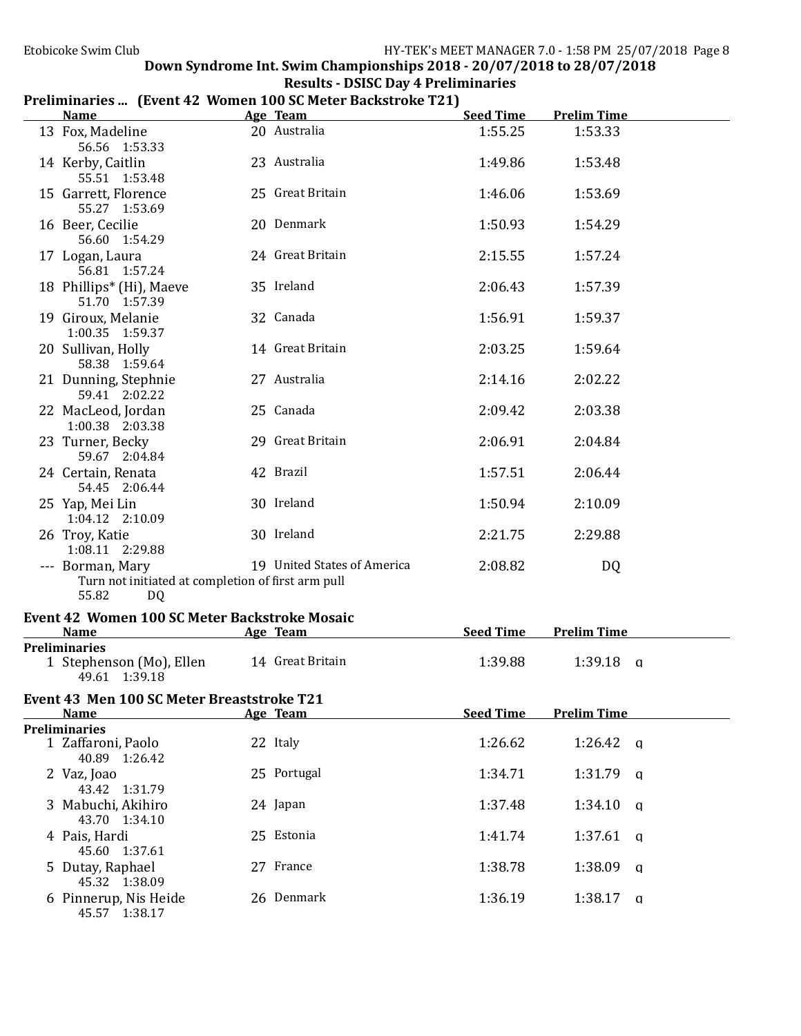| <b>Results - DSISC Day 4 Preliminaries</b>                  |
|-------------------------------------------------------------|
| Preliminaries  (Event 42 Women 100 SC Meter Backstroke T21) |

| <b>Name</b>                                                                           | Age Team and the Team and the Team and the Team and the Team and the Team and the Team and the Team and the Te | <b>Seed Time</b> | <b>Prelim Time</b> |
|---------------------------------------------------------------------------------------|----------------------------------------------------------------------------------------------------------------|------------------|--------------------|
| 13 Fox, Madeline<br>56.56 1:53.33                                                     | 20 Australia                                                                                                   | 1:55.25          | 1:53.33            |
| 14 Kerby, Caitlin<br>55.51 1:53.48                                                    | 23 Australia                                                                                                   | 1:49.86          | 1:53.48            |
| 15 Garrett, Florence<br>55.27 1:53.69                                                 | 25 Great Britain                                                                                               | 1:46.06          | 1:53.69            |
| 16 Beer, Cecilie<br>56.60 1:54.29                                                     | 20 Denmark                                                                                                     | 1:50.93          | 1:54.29            |
| 17 Logan, Laura<br>56.81 1:57.24                                                      | 24 Great Britain                                                                                               | 2:15.55          | 1:57.24            |
| 18 Phillips* (Hi), Maeve<br>51.70 1:57.39                                             | 35 Ireland                                                                                                     | 2:06.43          | 1:57.39            |
| 19 Giroux, Melanie<br>1:00.35 1:59.37                                                 | 32 Canada                                                                                                      | 1:56.91          | 1:59.37            |
| 20 Sullivan, Holly<br>58.38 1:59.64                                                   | 14 Great Britain                                                                                               | 2:03.25          | 1:59.64            |
| 21 Dunning, Stephnie<br>59.41 2:02.22                                                 | 27 Australia                                                                                                   | 2:14.16          | 2:02.22            |
| 22 MacLeod, Jordan<br>1:00.38 2:03.38                                                 | 25 Canada                                                                                                      | 2:09.42          | 2:03.38            |
| 23 Turner, Becky<br>59.67 2:04.84                                                     | 29 Great Britain                                                                                               | 2:06.91          | 2:04.84            |
| 24 Certain, Renata<br>54.45 2:06.44                                                   | 42 Brazil                                                                                                      | 1:57.51          | 2:06.44            |
| 25 Yap, Mei Lin<br>1:04.12 2:10.09                                                    | 30 Ireland                                                                                                     | 1:50.94          | 2:10.09            |
| 26 Troy, Katie<br>1:08.11 2:29.88                                                     | 30 Ireland                                                                                                     | 2:21.75          | 2:29.88            |
| --- Borman, Mary<br>Turn not initiated at completion of first arm pull<br>55.82<br>DQ | 19 United States of America                                                                                    | 2:08.82          | DQ                 |
| Event 42 Women 100 SC Meter Backstroke Mosaic                                         |                                                                                                                |                  |                    |
| <b>Name</b><br><b>Preliminaries</b>                                                   | Age Team                                                                                                       | <b>Seed Time</b> | <b>Prelim Time</b> |
| 1 Stephenson (Mo), Ellen<br>49.61 1:39.18                                             | 14 Great Britain                                                                                               | 1:39.88          | $1:39.18$ a        |
| Event 43 Men 100 SC Meter Breaststroke T21                                            |                                                                                                                |                  |                    |
| <b>Name</b>                                                                           | Age Team                                                                                                       | <b>Seed Time</b> | <b>Prelim Time</b> |
| <b>Preliminaries</b><br>1 Zaffaroni, Paolo<br>40.89 1:26.42                           | 22 Italy                                                                                                       | 1:26.62          | $1:26.42$ a        |
| 2 Vaz, Joao<br>43.42 1:31.79                                                          | 25 Portugal                                                                                                    | 1:34.71          | $1:31.79$ a        |
| 3 Mabuchi, Akihiro<br>43.70 1:34.10                                                   | 24 Japan                                                                                                       | 1:37.48          | $1:34.10$ q        |
| 4 Pais, Hardi<br>45.60 1:37.61                                                        | 25 Estonia                                                                                                     | 1:41.74          | $1:37.61$ q        |
| 5 Dutay, Raphael<br>45.32 1:38.09                                                     | 27 France                                                                                                      | 1:38.78          | $1:38.09$ a        |
| 6 Pinnerup, Nis Heide<br>45.57 1:38.17                                                | 26 Denmark                                                                                                     | 1:36.19          | $1:38.17$ a        |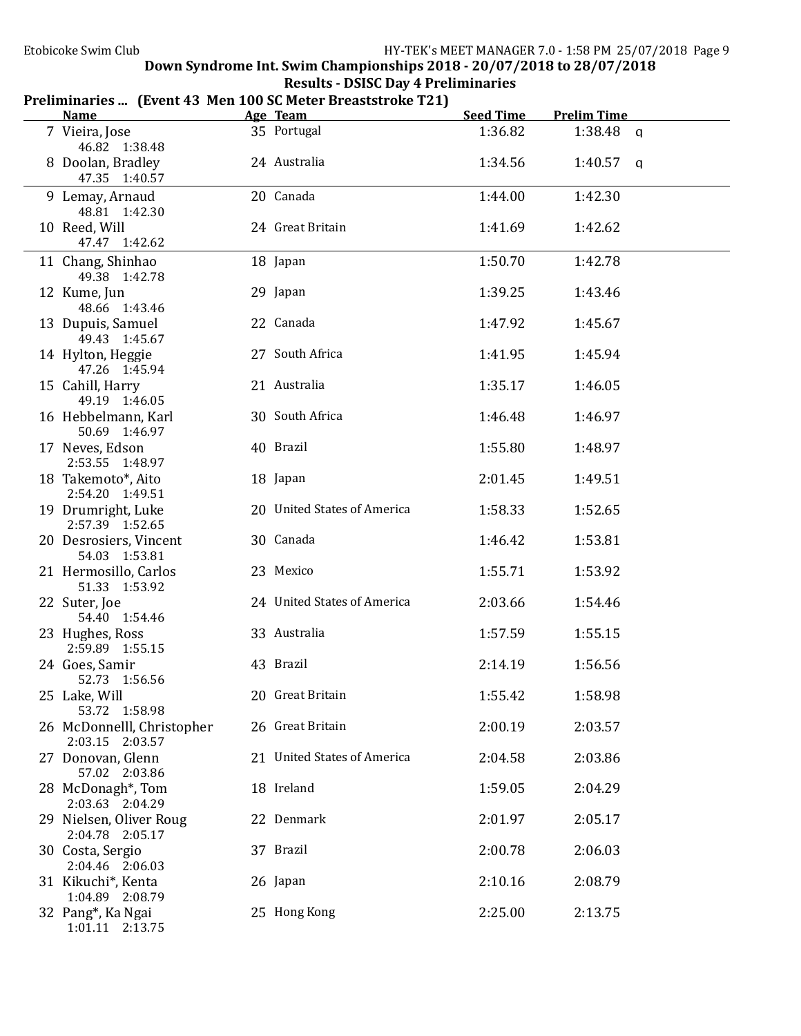| <b>Results - DSISC Day 4 Preliminaries</b>                  |
|-------------------------------------------------------------|
| Preliminaries  (Event 43 Men 100 SC Meter Breaststroke T21) |

| <b>Name</b>                                   | Age Team                    | <b>Seed Time</b> | <b>Prelim Time</b> |  |
|-----------------------------------------------|-----------------------------|------------------|--------------------|--|
| 7 Vieira, Jose<br>46.82 1:38.48               | 35 Portugal                 | 1:36.82          | $1:38.48$ q        |  |
| 8 Doolan, Bradley<br>47.35 1:40.57            | 24 Australia                | 1:34.56          | $1:40.57$ a        |  |
| 9 Lemay, Arnaud<br>48.81 1:42.30              | 20 Canada                   | 1:44.00          | 1:42.30            |  |
| 10 Reed, Will<br>47.47 1:42.62                | 24 Great Britain            | 1:41.69          | 1:42.62            |  |
| 11 Chang, Shinhao<br>49.38 1:42.78            | 18 Japan                    | 1:50.70          | 1:42.78            |  |
| 12 Kume, Jun<br>48.66 1:43.46                 | 29 Japan                    | 1:39.25          | 1:43.46            |  |
| 13 Dupuis, Samuel<br>49.43 1:45.67            | 22 Canada                   | 1:47.92          | 1:45.67            |  |
| 14 Hylton, Heggie<br>47.26 1:45.94            | 27 South Africa             | 1:41.95          | 1:45.94            |  |
| 15 Cahill, Harry<br>49.19 1:46.05             | 21 Australia                | 1:35.17          | 1:46.05            |  |
| 16 Hebbelmann, Karl<br>50.69 1:46.97          | 30 South Africa             | 1:46.48          | 1:46.97            |  |
| 17 Neves, Edson<br>2:53.55 1:48.97            | 40 Brazil                   | 1:55.80          | 1:48.97            |  |
| 18 Takemoto*, Aito<br>2:54.20 1:49.51         | 18 Japan                    | 2:01.45          | 1:49.51            |  |
| 19 Drumright, Luke<br>2:57.39 1:52.65         | 20 United States of America | 1:58.33          | 1:52.65            |  |
| 20 Desrosiers, Vincent<br>54.03 1:53.81       | 30 Canada                   | 1:46.42          | 1:53.81            |  |
| 21 Hermosillo, Carlos<br>51.33 1:53.92        | 23 Mexico                   | 1:55.71          | 1:53.92            |  |
| 22 Suter, Joe<br>54.40 1:54.46                | 24 United States of America | 2:03.66          | 1:54.46            |  |
| 23 Hughes, Ross<br>2:59.89 1:55.15            | 33 Australia                | 1:57.59          | 1:55.15            |  |
| 24 Goes, Samir<br>52.73 1:56.56               | 43 Brazil                   | 2:14.19          | 1:56.56            |  |
| 25 Lake, Will<br>53.72 1:58.98                | 20 Great Britain            | 1:55.42          | 1:58.98            |  |
| 26 McDonnelll, Christopher<br>2:03.15 2:03.57 | 26 Great Britain            | 2:00.19          | 2:03.57            |  |
| 27 Donovan, Glenn<br>57.02 2:03.86            | 21 United States of America | 2:04.58          | 2:03.86            |  |
| 28 McDonagh*, Tom<br>2:03.63 2:04.29          | 18 Ireland                  | 1:59.05          | 2:04.29            |  |
| 29 Nielsen, Oliver Roug<br>2:04.78 2:05.17    | 22 Denmark                  | 2:01.97          | 2:05.17            |  |
| 30 Costa, Sergio<br>2:04.46 2:06.03           | 37 Brazil                   | 2:00.78          | 2:06.03            |  |
| 31 Kikuchi*, Kenta<br>1:04.89 2:08.79         | 26 Japan                    | 2:10.16          | 2:08.79            |  |
| 32 Pang*, Ka Ngai<br>1:01.11 2:13.75          | 25 Hong Kong                | 2:25.00          | 2:13.75            |  |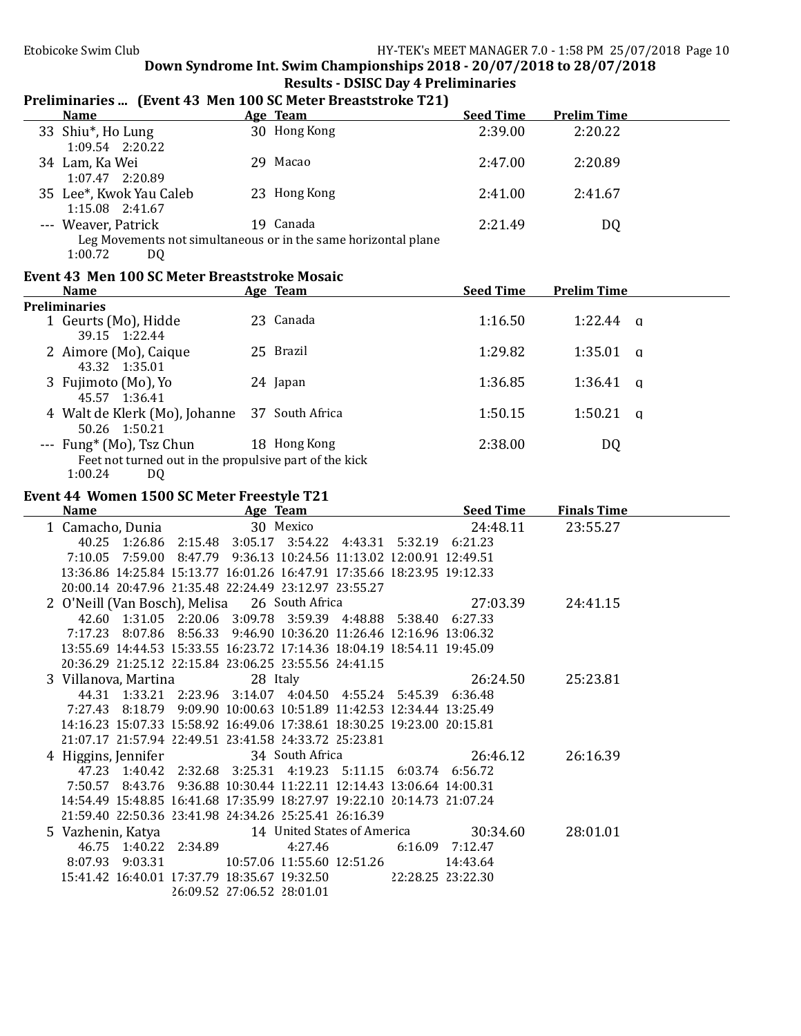| <b>Results - DSISC Day 4 Preliminaries</b>                                                                      |  |                                                                |                  |                    |  |  |  |  |
|-----------------------------------------------------------------------------------------------------------------|--|----------------------------------------------------------------|------------------|--------------------|--|--|--|--|
| Preliminaries  (Event 43 Men 100 SC Meter Breaststroke T21)                                                     |  |                                                                |                  |                    |  |  |  |  |
| <b>Name</b>                                                                                                     |  | Age Team                                                       | <b>Seed Time</b> | <b>Prelim Time</b> |  |  |  |  |
| 33 Shiu*, Ho Lung<br>$1:09.54$ $2:20.22$                                                                        |  | 30 Hong Kong                                                   | 2:39.00          | 2:20.22            |  |  |  |  |
| 34 Lam, Ka Wei<br>1:07.47 2:20.89                                                                               |  | 29 Macao                                                       | 2:47.00          | 2:20.89            |  |  |  |  |
| 35 Lee*, Kwok Yau Caleb<br>1:15.08 2:41.67                                                                      |  | 23 Hong Kong                                                   | 2:41.00          | 2:41.67            |  |  |  |  |
| --- Weaver, Patrick                                                                                             |  | 19 Canada                                                      | 2:21.49          | DQ                 |  |  |  |  |
| 1:00.72<br>DQ                                                                                                   |  | Leg Movements not simultaneous or in the same horizontal plane |                  |                    |  |  |  |  |
| Event 43 Men 100 SC Meter Breaststroke Mosaic                                                                   |  |                                                                |                  |                    |  |  |  |  |
| <b>Name</b>                                                                                                     |  | Age Team                                                       | <b>Seed Time</b> | <b>Prelim Time</b> |  |  |  |  |
| <b>Preliminaries</b>                                                                                            |  |                                                                |                  |                    |  |  |  |  |
| 1 Geurts (Mo), Hidde<br>39.15 1:22.44                                                                           |  | 23 Canada                                                      | 1:16.50          | $1:22.44$ q        |  |  |  |  |
| 2 Aimore (Mo), Caique<br>43.32 1:35.01                                                                          |  | 25 Brazil                                                      | 1:29.82          | $1:35.01$ q        |  |  |  |  |
| 3 Fujimoto (Mo), Yo<br>45.57 1:36.41                                                                            |  | 24 Japan                                                       | 1:36.85          | $1:36.41$ a        |  |  |  |  |
| 4 Walt de Klerk (Mo), Johanne 37 South Africa<br>50.26 1:50.21                                                  |  |                                                                | 1:50.15          | $1:50.21$ q        |  |  |  |  |
| --- Fung <sup>*</sup> (Mo), Tsz Chun<br>Feet not turned out in the propulsive part of the kick<br>1:00.24<br>DQ |  | 18 Hong Kong                                                   | 2:38.00          | DQ                 |  |  |  |  |
|                                                                                                                 |  |                                                                |                  |                    |  |  |  |  |
| Event 44 Women 1500 SC Meter Freestyle T21<br><b>Seed Time</b><br><b>Finals Time</b><br><b>Name</b><br>Age Team |  |                                                                |                  |                    |  |  |  |  |
|                                                                                                                 |  |                                                                |                  |                    |  |  |  |  |
| 1 Camacho, Dunia                                                                                                |  | 30 Mexico                                                      | 24:48.11         | 23:55.27           |  |  |  |  |

| name | $\frac{1}{2}$                                                           | OLLU TIML | 1 111013 1 1111 <b>6</b> |  |
|------|-------------------------------------------------------------------------|-----------|--------------------------|--|
|      | 1 Camacho, Dunia 30 Mexico 24:48.11                                     |           | 23:55.27                 |  |
|      | 40.25 1:26.86 2:15.48 3:05.17 3:54.22 4:43.31 5:32.19 6:21.23           |           |                          |  |
|      | 7:10.05 7:59.00 8:47.79 9:36.13 10:24.56 11:13.02 12:00.91 12:49.51     |           |                          |  |
|      | 13:36.86 14:25.84 15:13.77 16:01.26 16:47.91 17:35.66 18:23.95 19:12.33 |           |                          |  |
|      | 20:00.14 20:47.96 21:35.48 22:24.49 23:12.97 23:55.27                   |           |                          |  |
|      | 2 O'Neill (Van Bosch), Melisa 26 South Africa 27:03.39 24:41.15         |           |                          |  |
|      | 42.60 1:31.05 2:20.06 3:09.78 3:59.39 4:48.88 5:38.40 6:27.33           |           |                          |  |
|      | 7:17.23 8:07.86 8:56.33 9:46.90 10:36.20 11:26.46 12:16.96 13:06.32     |           |                          |  |
|      | 13:55.69 14:44.53 15:33.55 16:23.72 17:14.36 18:04.19 18:54.11 19:45.09 |           |                          |  |
|      | 20:36.29 21:25.12 22:15.84 23:06.25 23:55.56 24:41.15                   |           |                          |  |
|      | 3 Villanova, Martina 28 Italy 28 26:24.50                               |           | 25:23.81                 |  |
|      | 44.31 1:33.21 2:23.96 3:14.07 4:04.50 4:55.24 5:45.39 6:36.48           |           |                          |  |
|      | 7:27.43 8:18.79 9:09.90 10:00.63 10:51.89 11:42.53 12:34.44 13:25.49    |           |                          |  |
|      | 14:16.23 15:07.33 15:58.92 16:49.06 17:38.61 18:30.25 19:23.00 20:15.81 |           |                          |  |
|      | 21:07.17 21:57.94 22:49.51 23:41.58 24:33.72 25:23.81                   |           |                          |  |
|      | 4 Higgins, Jennifer 34 South Africa 26:46.12 26:16.39                   |           |                          |  |
|      | 47.23 1:40.42 2:32.68 3:25.31 4:19.23 5:11.15 6:03.74 6:56.72           |           |                          |  |
|      | 7:50.57 8:43.76 9:36.88 10:30.44 11:22.11 12:14.43 13:06.64 14:00.31    |           |                          |  |
|      | 14:54.49 15:48.85 16:41.68 17:35.99 18:27.97 19:22.10 20:14.73 21:07.24 |           |                          |  |
|      | 21:59.40 22:50.36 23:41.98 24:34.26 25:25.41 26:16.39                   |           |                          |  |
|      | 5 Vazhenin, Katya 14 United States of America 30:34.60                  |           | 28:01.01                 |  |
|      | 46.75 1:40.22 2:34.89 4:27.46 6:16.09 7:12.47                           |           |                          |  |
|      | 8:07.93 9:03.31 10:57.06 11:55.60 12:51.26 14:43.64                     |           |                          |  |
|      | 15:41.42 16:40.01 17:37.79 18:35.67 19:32.50 22:28.25 23:22.30          |           |                          |  |
|      | 26:09.52 27:06.52 28:01.01                                              |           |                          |  |
|      |                                                                         |           |                          |  |